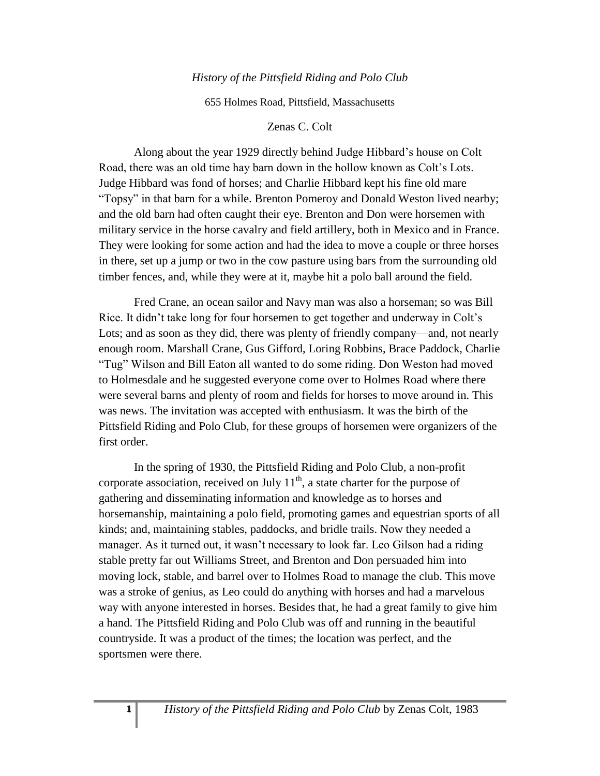## *History of the Pittsfield Riding and Polo Club*

655 Holmes Road, Pittsfield, Massachusetts

## Zenas C. Colt

Along about the year 1929 directly behind Judge Hibbard's house on Colt Road, there was an old time hay barn down in the hollow known as Colt's Lots. Judge Hibbard was fond of horses; and Charlie Hibbard kept his fine old mare "Topsy" in that barn for a while. Brenton Pomeroy and Donald Weston lived nearby; and the old barn had often caught their eye. Brenton and Don were horsemen with military service in the horse cavalry and field artillery, both in Mexico and in France. They were looking for some action and had the idea to move a couple or three horses in there, set up a jump or two in the cow pasture using bars from the surrounding old timber fences, and, while they were at it, maybe hit a polo ball around the field.

Fred Crane, an ocean sailor and Navy man was also a horseman; so was Bill Rice. It didn't take long for four horsemen to get together and underway in Colt's Lots; and as soon as they did, there was plenty of friendly company—and, not nearly enough room. Marshall Crane, Gus Gifford, Loring Robbins, Brace Paddock, Charlie "Tug" Wilson and Bill Eaton all wanted to do some riding. Don Weston had moved to Holmesdale and he suggested everyone come over to Holmes Road where there were several barns and plenty of room and fields for horses to move around in. This was news. The invitation was accepted with enthusiasm. It was the birth of the Pittsfield Riding and Polo Club, for these groups of horsemen were organizers of the first order.

In the spring of 1930, the Pittsfield Riding and Polo Club, a non-profit corporate association, received on July  $11<sup>th</sup>$ , a state charter for the purpose of gathering and disseminating information and knowledge as to horses and horsemanship, maintaining a polo field, promoting games and equestrian sports of all kinds; and, maintaining stables, paddocks, and bridle trails. Now they needed a manager. As it turned out, it wasn't necessary to look far. Leo Gilson had a riding stable pretty far out Williams Street, and Brenton and Don persuaded him into moving lock, stable, and barrel over to Holmes Road to manage the club. This move was a stroke of genius, as Leo could do anything with horses and had a marvelous way with anyone interested in horses. Besides that, he had a great family to give him a hand. The Pittsfield Riding and Polo Club was off and running in the beautiful countryside. It was a product of the times; the location was perfect, and the sportsmen were there.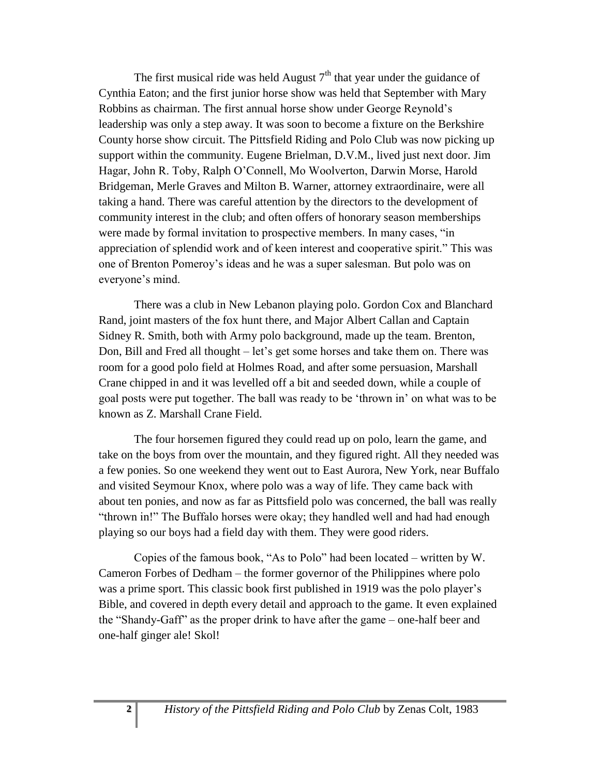The first musical ride was held August  $7<sup>th</sup>$  that year under the guidance of Cynthia Eaton; and the first junior horse show was held that September with Mary Robbins as chairman. The first annual horse show under George Reynold's leadership was only a step away. It was soon to become a fixture on the Berkshire County horse show circuit. The Pittsfield Riding and Polo Club was now picking up support within the community. Eugene Brielman, D.V.M., lived just next door. Jim Hagar, John R. Toby, Ralph O'Connell, Mo Woolverton, Darwin Morse, Harold Bridgeman, Merle Graves and Milton B. Warner, attorney extraordinaire, were all taking a hand. There was careful attention by the directors to the development of community interest in the club; and often offers of honorary season memberships were made by formal invitation to prospective members. In many cases, "in appreciation of splendid work and of keen interest and cooperative spirit." This was one of Brenton Pomeroy's ideas and he was a super salesman. But polo was on everyone's mind.

There was a club in New Lebanon playing polo. Gordon Cox and Blanchard Rand, joint masters of the fox hunt there, and Major Albert Callan and Captain Sidney R. Smith, both with Army polo background, made up the team. Brenton, Don, Bill and Fred all thought – let's get some horses and take them on. There was room for a good polo field at Holmes Road, and after some persuasion, Marshall Crane chipped in and it was levelled off a bit and seeded down, while a couple of goal posts were put together. The ball was ready to be 'thrown in' on what was to be known as Z. Marshall Crane Field.

The four horsemen figured they could read up on polo, learn the game, and take on the boys from over the mountain, and they figured right. All they needed was a few ponies. So one weekend they went out to East Aurora, New York, near Buffalo and visited Seymour Knox, where polo was a way of life. They came back with about ten ponies, and now as far as Pittsfield polo was concerned, the ball was really "thrown in!" The Buffalo horses were okay; they handled well and had had enough playing so our boys had a field day with them. They were good riders.

Copies of the famous book, "As to Polo" had been located – written by W. Cameron Forbes of Dedham – the former governor of the Philippines where polo was a prime sport. This classic book first published in 1919 was the polo player's Bible, and covered in depth every detail and approach to the game. It even explained the "Shandy-Gaff" as the proper drink to have after the game – one-half beer and one-half ginger ale! Skol!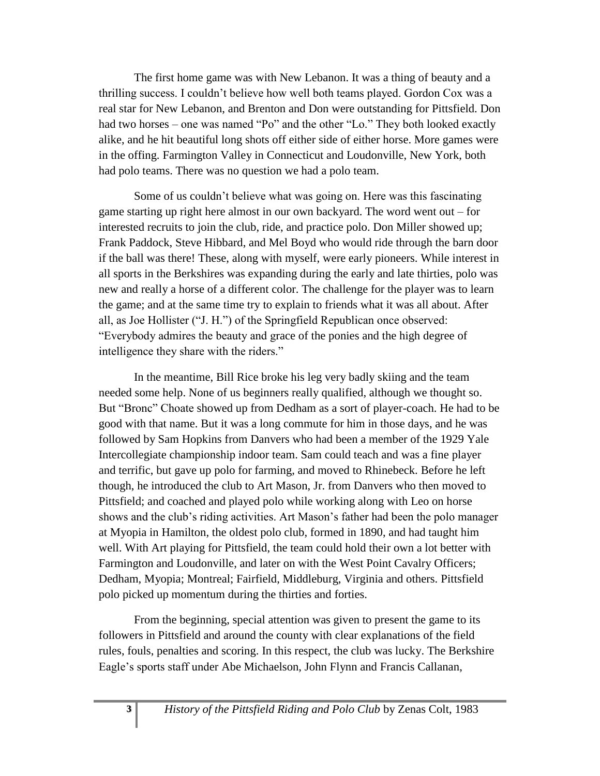The first home game was with New Lebanon. It was a thing of beauty and a thrilling success. I couldn't believe how well both teams played. Gordon Cox was a real star for New Lebanon, and Brenton and Don were outstanding for Pittsfield. Don had two horses – one was named "Po" and the other "Lo." They both looked exactly alike, and he hit beautiful long shots off either side of either horse. More games were in the offing. Farmington Valley in Connecticut and Loudonville, New York, both had polo teams. There was no question we had a polo team.

Some of us couldn't believe what was going on. Here was this fascinating game starting up right here almost in our own backyard. The word went out – for interested recruits to join the club, ride, and practice polo. Don Miller showed up; Frank Paddock, Steve Hibbard, and Mel Boyd who would ride through the barn door if the ball was there! These, along with myself, were early pioneers. While interest in all sports in the Berkshires was expanding during the early and late thirties, polo was new and really a horse of a different color. The challenge for the player was to learn the game; and at the same time try to explain to friends what it was all about. After all, as Joe Hollister ("J. H.") of the Springfield Republican once observed: "Everybody admires the beauty and grace of the ponies and the high degree of intelligence they share with the riders."

In the meantime, Bill Rice broke his leg very badly skiing and the team needed some help. None of us beginners really qualified, although we thought so. But "Bronc" Choate showed up from Dedham as a sort of player-coach. He had to be good with that name. But it was a long commute for him in those days, and he was followed by Sam Hopkins from Danvers who had been a member of the 1929 Yale Intercollegiate championship indoor team. Sam could teach and was a fine player and terrific, but gave up polo for farming, and moved to Rhinebeck. Before he left though, he introduced the club to Art Mason, Jr. from Danvers who then moved to Pittsfield; and coached and played polo while working along with Leo on horse shows and the club's riding activities. Art Mason's father had been the polo manager at Myopia in Hamilton, the oldest polo club, formed in 1890, and had taught him well. With Art playing for Pittsfield, the team could hold their own a lot better with Farmington and Loudonville, and later on with the West Point Cavalry Officers; Dedham, Myopia; Montreal; Fairfield, Middleburg, Virginia and others. Pittsfield polo picked up momentum during the thirties and forties.

From the beginning, special attention was given to present the game to its followers in Pittsfield and around the county with clear explanations of the field rules, fouls, penalties and scoring. In this respect, the club was lucky. The Berkshire Eagle's sports staff under Abe Michaelson, John Flynn and Francis Callanan,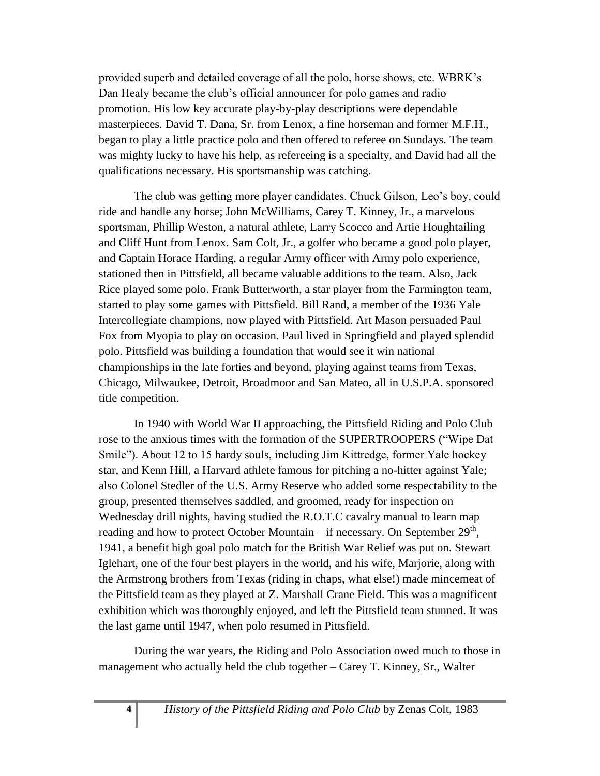provided superb and detailed coverage of all the polo, horse shows, etc. WBRK's Dan Healy became the club's official announcer for polo games and radio promotion. His low key accurate play-by-play descriptions were dependable masterpieces. David T. Dana, Sr. from Lenox, a fine horseman and former M.F.H., began to play a little practice polo and then offered to referee on Sundays. The team was mighty lucky to have his help, as refereeing is a specialty, and David had all the qualifications necessary. His sportsmanship was catching.

The club was getting more player candidates. Chuck Gilson, Leo's boy, could ride and handle any horse; John McWilliams, Carey T. Kinney, Jr., a marvelous sportsman, Phillip Weston, a natural athlete, Larry Scocco and Artie Houghtailing and Cliff Hunt from Lenox. Sam Colt, Jr., a golfer who became a good polo player, and Captain Horace Harding, a regular Army officer with Army polo experience, stationed then in Pittsfield, all became valuable additions to the team. Also, Jack Rice played some polo. Frank Butterworth, a star player from the Farmington team, started to play some games with Pittsfield. Bill Rand, a member of the 1936 Yale Intercollegiate champions, now played with Pittsfield. Art Mason persuaded Paul Fox from Myopia to play on occasion. Paul lived in Springfield and played splendid polo. Pittsfield was building a foundation that would see it win national championships in the late forties and beyond, playing against teams from Texas, Chicago, Milwaukee, Detroit, Broadmoor and San Mateo, all in U.S.P.A. sponsored title competition.

In 1940 with World War II approaching, the Pittsfield Riding and Polo Club rose to the anxious times with the formation of the SUPERTROOPERS ("Wipe Dat Smile"). About 12 to 15 hardy souls, including Jim Kittredge, former Yale hockey star, and Kenn Hill, a Harvard athlete famous for pitching a no-hitter against Yale; also Colonel Stedler of the U.S. Army Reserve who added some respectability to the group, presented themselves saddled, and groomed, ready for inspection on Wednesday drill nights, having studied the R.O.T.C cavalry manual to learn map reading and how to protect October Mountain – if necessary. On September  $29<sup>th</sup>$ , 1941, a benefit high goal polo match for the British War Relief was put on. Stewart Iglehart, one of the four best players in the world, and his wife, Marjorie, along with the Armstrong brothers from Texas (riding in chaps, what else!) made mincemeat of the Pittsfield team as they played at Z. Marshall Crane Field. This was a magnificent exhibition which was thoroughly enjoyed, and left the Pittsfield team stunned. It was the last game until 1947, when polo resumed in Pittsfield.

During the war years, the Riding and Polo Association owed much to those in management who actually held the club together – Carey T. Kinney, Sr., Walter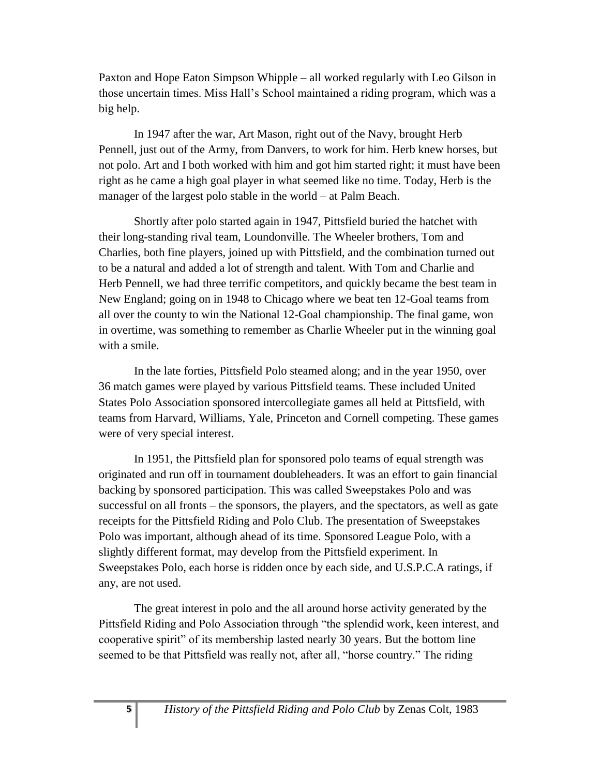Paxton and Hope Eaton Simpson Whipple – all worked regularly with Leo Gilson in those uncertain times. Miss Hall's School maintained a riding program, which was a big help.

In 1947 after the war, Art Mason, right out of the Navy, brought Herb Pennell, just out of the Army, from Danvers, to work for him. Herb knew horses, but not polo. Art and I both worked with him and got him started right; it must have been right as he came a high goal player in what seemed like no time. Today, Herb is the manager of the largest polo stable in the world – at Palm Beach.

Shortly after polo started again in 1947, Pittsfield buried the hatchet with their long-standing rival team, Loundonville. The Wheeler brothers, Tom and Charlies, both fine players, joined up with Pittsfield, and the combination turned out to be a natural and added a lot of strength and talent. With Tom and Charlie and Herb Pennell, we had three terrific competitors, and quickly became the best team in New England; going on in 1948 to Chicago where we beat ten 12-Goal teams from all over the county to win the National 12-Goal championship. The final game, won in overtime, was something to remember as Charlie Wheeler put in the winning goal with a smile.

In the late forties, Pittsfield Polo steamed along; and in the year 1950, over 36 match games were played by various Pittsfield teams. These included United States Polo Association sponsored intercollegiate games all held at Pittsfield, with teams from Harvard, Williams, Yale, Princeton and Cornell competing. These games were of very special interest.

In 1951, the Pittsfield plan for sponsored polo teams of equal strength was originated and run off in tournament doubleheaders. It was an effort to gain financial backing by sponsored participation. This was called Sweepstakes Polo and was successful on all fronts – the sponsors, the players, and the spectators, as well as gate receipts for the Pittsfield Riding and Polo Club. The presentation of Sweepstakes Polo was important, although ahead of its time. Sponsored League Polo, with a slightly different format, may develop from the Pittsfield experiment. In Sweepstakes Polo, each horse is ridden once by each side, and U.S.P.C.A ratings, if any, are not used.

The great interest in polo and the all around horse activity generated by the Pittsfield Riding and Polo Association through "the splendid work, keen interest, and cooperative spirit" of its membership lasted nearly 30 years. But the bottom line seemed to be that Pittsfield was really not, after all, "horse country." The riding